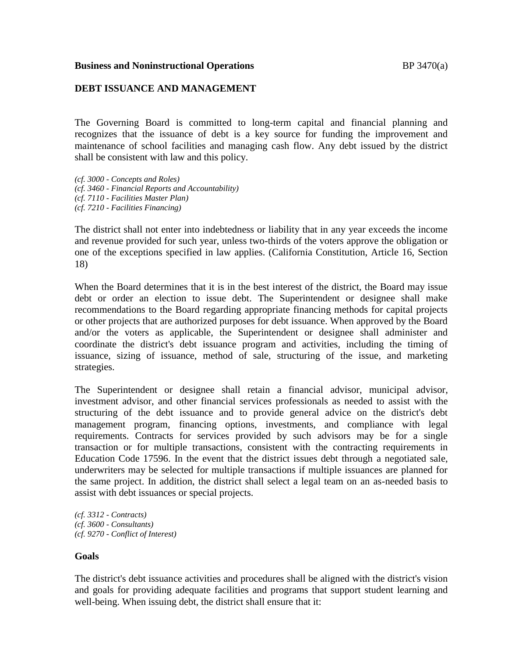#### **Business and Noninstructional Operations BP 3470(a)**

#### **DEBT ISSUANCE AND MANAGEMENT**

The Governing Board is committed to long-term capital and financial planning and recognizes that the issuance of debt is a key source for funding the improvement and maintenance of school facilities and managing cash flow. Any debt issued by the district shall be consistent with law and this policy.

*(cf. 3000 - Concepts and Roles) (cf. 3460 - Financial Reports and Accountability) (cf. 7110 - Facilities Master Plan) (cf. 7210 - Facilities Financing)*

The district shall not enter into indebtedness or liability that in any year exceeds the income and revenue provided for such year, unless two-thirds of the voters approve the obligation or one of the exceptions specified in law applies. (California Constitution, Article 16, Section 18)

When the Board determines that it is in the best interest of the district, the Board may issue debt or order an election to issue debt. The Superintendent or designee shall make recommendations to the Board regarding appropriate financing methods for capital projects or other projects that are authorized purposes for debt issuance. When approved by the Board and/or the voters as applicable, the Superintendent or designee shall administer and coordinate the district's debt issuance program and activities, including the timing of issuance, sizing of issuance, method of sale, structuring of the issue, and marketing strategies.

The Superintendent or designee shall retain a financial advisor, municipal advisor, investment advisor, and other financial services professionals as needed to assist with the structuring of the debt issuance and to provide general advice on the district's debt management program, financing options, investments, and compliance with legal requirements. Contracts for services provided by such advisors may be for a single transaction or for multiple transactions, consistent with the contracting requirements in Education Code 17596. In the event that the district issues debt through a negotiated sale, underwriters may be selected for multiple transactions if multiple issuances are planned for the same project. In addition, the district shall select a legal team on an as-needed basis to assist with debt issuances or special projects.

*(cf. 3312 - Contracts) (cf. 3600 - Consultants) (cf. 9270 - Conflict of Interest)*

#### **Goals**

The district's debt issuance activities and procedures shall be aligned with the district's vision and goals for providing adequate facilities and programs that support student learning and well-being. When issuing debt, the district shall ensure that it: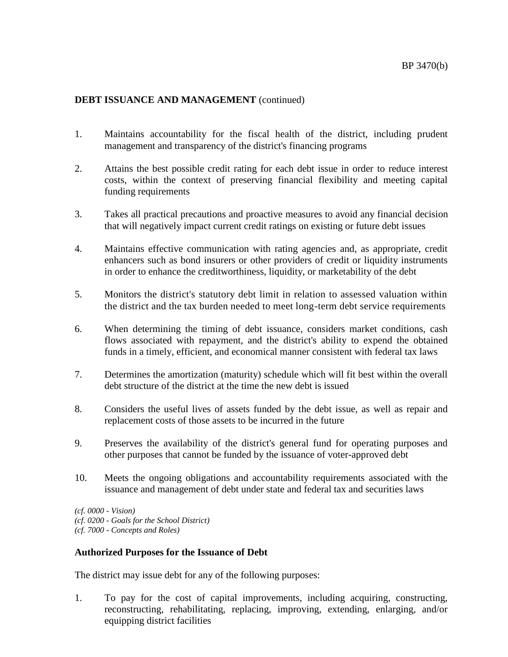- 1. Maintains accountability for the fiscal health of the district, including prudent management and transparency of the district's financing programs
- 2. Attains the best possible credit rating for each debt issue in order to reduce interest costs, within the context of preserving financial flexibility and meeting capital funding requirements
- 3. Takes all practical precautions and proactive measures to avoid any financial decision that will negatively impact current credit ratings on existing or future debt issues
- 4. Maintains effective communication with rating agencies and, as appropriate, credit enhancers such as bond insurers or other providers of credit or liquidity instruments in order to enhance the creditworthiness, liquidity, or marketability of the debt
- 5. Monitors the district's statutory debt limit in relation to assessed valuation within the district and the tax burden needed to meet long-term debt service requirements
- 6. When determining the timing of debt issuance, considers market conditions, cash flows associated with repayment, and the district's ability to expend the obtained funds in a timely, efficient, and economical manner consistent with federal tax laws
- 7. Determines the amortization (maturity) schedule which will fit best within the overall debt structure of the district at the time the new debt is issued
- 8. Considers the useful lives of assets funded by the debt issue, as well as repair and replacement costs of those assets to be incurred in the future
- 9. Preserves the availability of the district's general fund for operating purposes and other purposes that cannot be funded by the issuance of voter-approved debt
- 10. Meets the ongoing obligations and accountability requirements associated with the issuance and management of debt under state and federal tax and securities laws

*(cf. 0000 - Vision) (cf. 0200 - Goals for the School District) (cf. 7000 - Concepts and Roles)*

## **Authorized Purposes for the Issuance of Debt**

The district may issue debt for any of the following purposes:

1. To pay for the cost of capital improvements, including acquiring, constructing, reconstructing, rehabilitating, replacing, improving, extending, enlarging, and/or equipping district facilities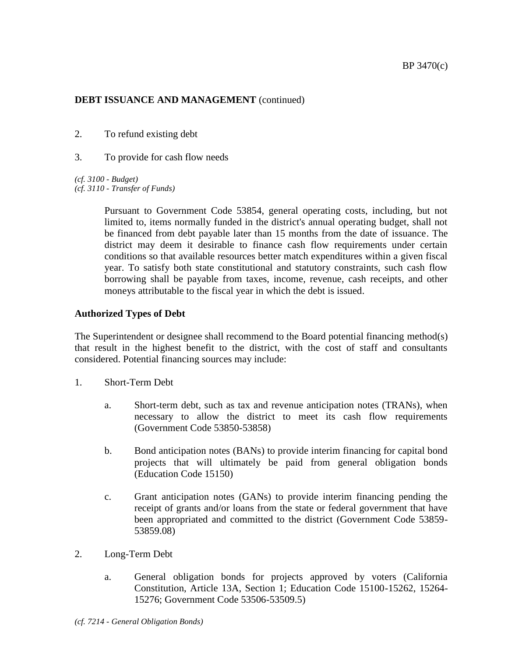- 2. To refund existing debt
- 3. To provide for cash flow needs

*(cf. 3100 - Budget) (cf. 3110 - Transfer of Funds)*

> Pursuant to Government Code 53854, general operating costs, including, but not limited to, items normally funded in the district's annual operating budget, shall not be financed from debt payable later than 15 months from the date of issuance. The district may deem it desirable to finance cash flow requirements under certain conditions so that available resources better match expenditures within a given fiscal year. To satisfy both state constitutional and statutory constraints, such cash flow borrowing shall be payable from taxes, income, revenue, cash receipts, and other moneys attributable to the fiscal year in which the debt is issued.

# **Authorized Types of Debt**

The Superintendent or designee shall recommend to the Board potential financing method(s) that result in the highest benefit to the district, with the cost of staff and consultants considered. Potential financing sources may include:

- 1. Short-Term Debt
	- a. Short-term debt, such as tax and revenue anticipation notes (TRANs), when necessary to allow the district to meet its cash flow requirements (Government Code 53850-53858)
	- b. Bond anticipation notes (BANs) to provide interim financing for capital bond projects that will ultimately be paid from general obligation bonds (Education Code 15150)
	- c. Grant anticipation notes (GANs) to provide interim financing pending the receipt of grants and/or loans from the state or federal government that have been appropriated and committed to the district (Government Code 53859- 53859.08)
- 2. Long-Term Debt
	- a. General obligation bonds for projects approved by voters (California Constitution, Article 13A, Section 1; Education Code 15100-15262, 15264- 15276; Government Code 53506-53509.5)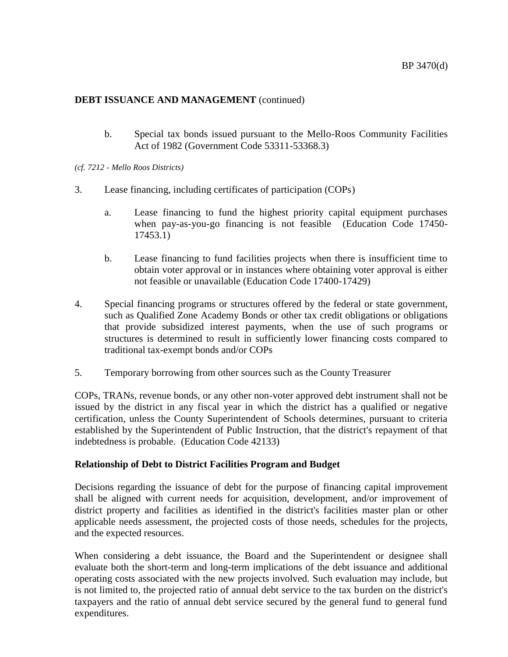b. Special tax bonds issued pursuant to the Mello-Roos Community Facilities Act of 1982 (Government Code 53311-53368.3)

*(cf. 7212 - Mello Roos Districts)*

- 3. Lease financing, including certificates of participation (COPs)
	- a. Lease financing to fund the highest priority capital equipment purchases when pay-as-you-go financing is not feasible (Education Code 17450- 17453.1)
	- b. Lease financing to fund facilities projects when there is insufficient time to obtain voter approval or in instances where obtaining voter approval is either not feasible or unavailable (Education Code 17400-17429)
- 4. Special financing programs or structures offered by the federal or state government, such as Qualified Zone Academy Bonds or other tax credit obligations or obligations that provide subsidized interest payments, when the use of such programs or structures is determined to result in sufficiently lower financing costs compared to traditional tax-exempt bonds and/or COPs
- 5. Temporary borrowing from other sources such as the County Treasurer

COPs, TRANs, revenue bonds, or any other non-voter approved debt instrument shall not be issued by the district in any fiscal year in which the district has a qualified or negative certification, unless the County Superintendent of Schools determines, pursuant to criteria established by the Superintendent of Public Instruction, that the district's repayment of that indebtedness is probable. (Education Code 42133)

## **Relationship of Debt to District Facilities Program and Budget**

Decisions regarding the issuance of debt for the purpose of financing capital improvement shall be aligned with current needs for acquisition, development, and/or improvement of district property and facilities as identified in the district's facilities master plan or other applicable needs assessment, the projected costs of those needs, schedules for the projects, and the expected resources.

When considering a debt issuance, the Board and the Superintendent or designee shall evaluate both the short-term and long-term implications of the debt issuance and additional operating costs associated with the new projects involved. Such evaluation may include, but is not limited to, the projected ratio of annual debt service to the tax burden on the district's taxpayers and the ratio of annual debt service secured by the general fund to general fund expenditures.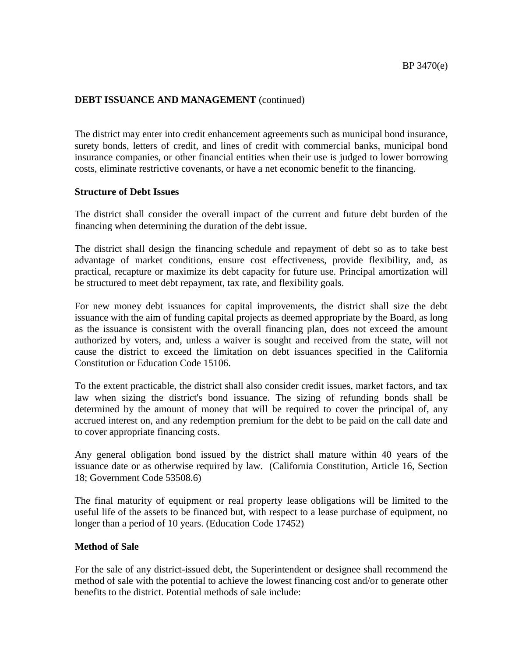The district may enter into credit enhancement agreements such as municipal bond insurance, surety bonds, letters of credit, and lines of credit with commercial banks, municipal bond insurance companies, or other financial entities when their use is judged to lower borrowing costs, eliminate restrictive covenants, or have a net economic benefit to the financing.

#### **Structure of Debt Issues**

The district shall consider the overall impact of the current and future debt burden of the financing when determining the duration of the debt issue.

The district shall design the financing schedule and repayment of debt so as to take best advantage of market conditions, ensure cost effectiveness, provide flexibility, and, as practical, recapture or maximize its debt capacity for future use. Principal amortization will be structured to meet debt repayment, tax rate, and flexibility goals.

For new money debt issuances for capital improvements, the district shall size the debt issuance with the aim of funding capital projects as deemed appropriate by the Board, as long as the issuance is consistent with the overall financing plan, does not exceed the amount authorized by voters, and, unless a waiver is sought and received from the state, will not cause the district to exceed the limitation on debt issuances specified in the California Constitution or Education Code 15106.

To the extent practicable, the district shall also consider credit issues, market factors, and tax law when sizing the district's bond issuance. The sizing of refunding bonds shall be determined by the amount of money that will be required to cover the principal of, any accrued interest on, and any redemption premium for the debt to be paid on the call date and to cover appropriate financing costs.

Any general obligation bond issued by the district shall mature within 40 years of the issuance date or as otherwise required by law. (California Constitution, Article 16, Section 18; Government Code 53508.6)

The final maturity of equipment or real property lease obligations will be limited to the useful life of the assets to be financed but, with respect to a lease purchase of equipment, no longer than a period of 10 years. (Education Code 17452)

## **Method of Sale**

For the sale of any district-issued debt, the Superintendent or designee shall recommend the method of sale with the potential to achieve the lowest financing cost and/or to generate other benefits to the district. Potential methods of sale include: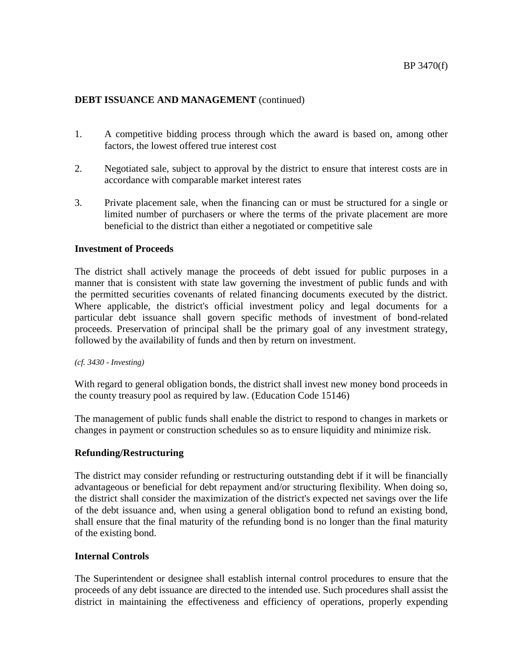- 1. A competitive bidding process through which the award is based on, among other factors, the lowest offered true interest cost
- 2. Negotiated sale, subject to approval by the district to ensure that interest costs are in accordance with comparable market interest rates
- 3. Private placement sale, when the financing can or must be structured for a single or limited number of purchasers or where the terms of the private placement are more beneficial to the district than either a negotiated or competitive sale

#### **Investment of Proceeds**

The district shall actively manage the proceeds of debt issued for public purposes in a manner that is consistent with state law governing the investment of public funds and with the permitted securities covenants of related financing documents executed by the district. Where applicable, the district's official investment policy and legal documents for a particular debt issuance shall govern specific methods of investment of bond-related proceeds. Preservation of principal shall be the primary goal of any investment strategy, followed by the availability of funds and then by return on investment.

#### *(cf. 3430 - Investing)*

With regard to general obligation bonds, the district shall invest new money bond proceeds in the county treasury pool as required by law. (Education Code 15146)

The management of public funds shall enable the district to respond to changes in markets or changes in payment or construction schedules so as to ensure liquidity and minimize risk.

## **Refunding/Restructuring**

The district may consider refunding or restructuring outstanding debt if it will be financially advantageous or beneficial for debt repayment and/or structuring flexibility. When doing so, the district shall consider the maximization of the district's expected net savings over the life of the debt issuance and, when using a general obligation bond to refund an existing bond, shall ensure that the final maturity of the refunding bond is no longer than the final maturity of the existing bond.

## **Internal Controls**

The Superintendent or designee shall establish internal control procedures to ensure that the proceeds of any debt issuance are directed to the intended use. Such procedures shall assist the district in maintaining the effectiveness and efficiency of operations, properly expending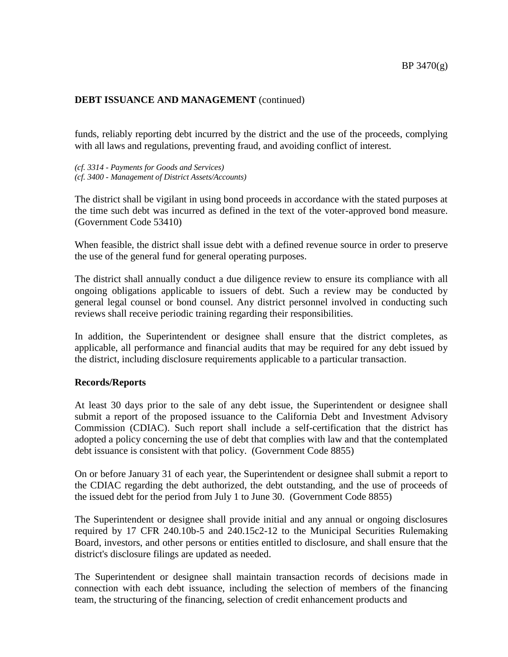funds, reliably reporting debt incurred by the district and the use of the proceeds, complying with all laws and regulations, preventing fraud, and avoiding conflict of interest.

*(cf. 3314 - Payments for Goods and Services) (cf. 3400 - Management of District Assets/Accounts)*

The district shall be vigilant in using bond proceeds in accordance with the stated purposes at the time such debt was incurred as defined in the text of the voter-approved bond measure. (Government Code 53410)

When feasible, the district shall issue debt with a defined revenue source in order to preserve the use of the general fund for general operating purposes.

The district shall annually conduct a due diligence review to ensure its compliance with all ongoing obligations applicable to issuers of debt. Such a review may be conducted by general legal counsel or bond counsel. Any district personnel involved in conducting such reviews shall receive periodic training regarding their responsibilities.

In addition, the Superintendent or designee shall ensure that the district completes, as applicable, all performance and financial audits that may be required for any debt issued by the district, including disclosure requirements applicable to a particular transaction.

#### **Records/Reports**

At least 30 days prior to the sale of any debt issue, the Superintendent or designee shall submit a report of the proposed issuance to the California Debt and Investment Advisory Commission (CDIAC). Such report shall include a self-certification that the district has adopted a policy concerning the use of debt that complies with law and that the contemplated debt issuance is consistent with that policy. (Government Code 8855)

On or before January 31 of each year, the Superintendent or designee shall submit a report to the CDIAC regarding the debt authorized, the debt outstanding, and the use of proceeds of the issued debt for the period from July 1 to June 30. (Government Code 8855)

The Superintendent or designee shall provide initial and any annual or ongoing disclosures required by 17 CFR 240.10b-5 and 240.15c2-12 to the Municipal Securities Rulemaking Board, investors, and other persons or entities entitled to disclosure, and shall ensure that the district's disclosure filings are updated as needed.

The Superintendent or designee shall maintain transaction records of decisions made in connection with each debt issuance, including the selection of members of the financing team, the structuring of the financing, selection of credit enhancement products and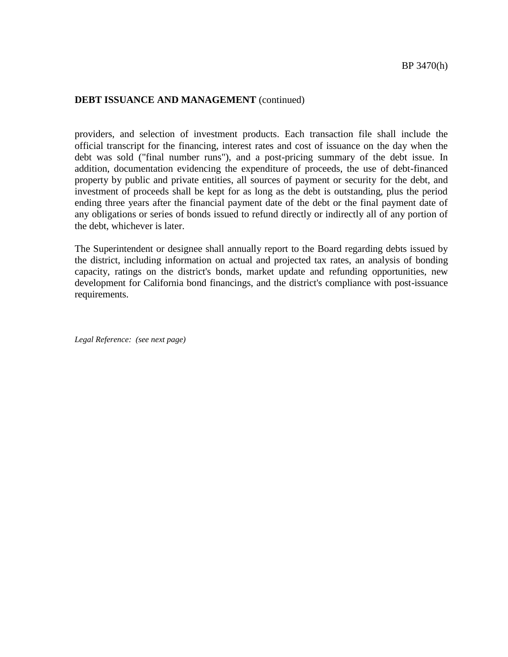providers, and selection of investment products. Each transaction file shall include the official transcript for the financing, interest rates and cost of issuance on the day when the debt was sold ("final number runs"), and a post-pricing summary of the debt issue. In addition, documentation evidencing the expenditure of proceeds, the use of debt-financed property by public and private entities, all sources of payment or security for the debt, and investment of proceeds shall be kept for as long as the debt is outstanding, plus the period ending three years after the financial payment date of the debt or the final payment date of any obligations or series of bonds issued to refund directly or indirectly all of any portion of the debt, whichever is later.

The Superintendent or designee shall annually report to the Board regarding debts issued by the district, including information on actual and projected tax rates, an analysis of bonding capacity, ratings on the district's bonds, market update and refunding opportunities, new development for California bond financings, and the district's compliance with post-issuance requirements.

*Legal Reference: (see next page)*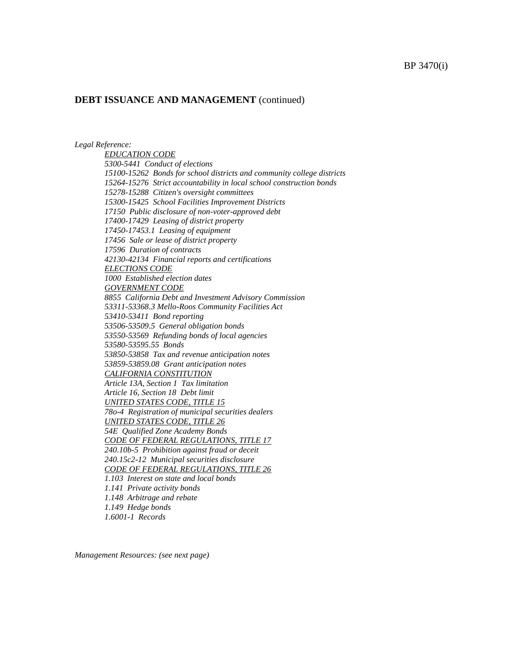*Legal Reference:* 

*EDUCATION CODE 5300-5441 Conduct of elections [15100-](http://gamutonline.net/displayPolicy/136195/7)15262 Bonds for school districts and community college districts [15264-](http://gamutonline.net/displayPolicy/225972/7)15276 Strict accountability in local school construction bonds 15278-15288 Citizen's oversight committees 15300-15425 School Facilities Improvement Districts 17150 Public disclosure of non-voter-approved debt 17400-17429 Leasing of district property 17450-17453.1 Leasing of equipment 17456 Sale or lease of district property 17596 Duration of contracts 42130-42134 Financial reports and certifications ELECTIONS CODE 1000 Established election dates GOVERNMENT CODE 8855 California Debt and Investment Advisory Commission 53311-53368.3 Mello-Roos Community Facilities Act 53410-53411 Bond reporting 53506-53509.5 General obligation bonds 53550-53569 Refunding bonds of local agencies [53580-](http://gamutonline.net/displayPolicy/421279/7)53595.55 Bonds 53850-53858 Tax and revenue anticipation notes 53859-53859.08 Grant anticipation notes CALIFORNIA CONSTITUTION Article 13A, Section 1 Tax limitation Article 16, Section 18 Debt limit UNITED STATES CODE, TITLE 15 78o-4 Registration of municipal securities dealers UNITED STATES CODE, TITLE 26 54E Qualified Zone Academy Bonds CODE OF FEDERAL REGULATIONS, TITLE 17 240.10b-5 Prohibition against fraud or deceit 240.15c2-12 Municipal securities disclosure CODE OF FEDERAL REGULATIONS, TITLE 26 1.103 Interest on state and local bonds 1.141 Private activity bonds 1.148 Arbitrage and rebate 1.149 Hedge bonds 1.6001-1 Records*

*Management Resources: (see next page)*